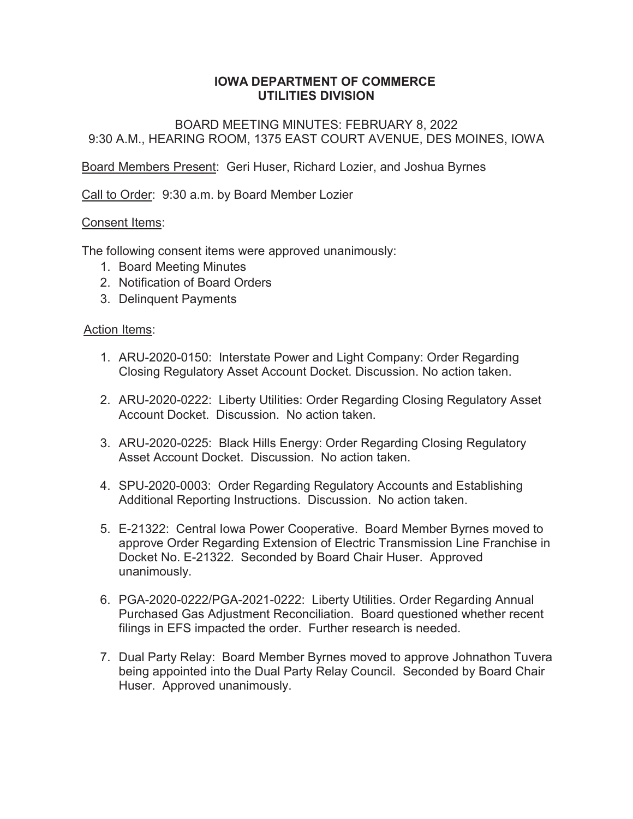## **IOWA DEPARTMENT OF COMMERCE UTILITIES DIVISION**

BOARD MEETING MINUTES: FEBRUARY 8, 2022 9:30 A.M., HEARING ROOM, 1375 EAST COURT AVENUE, DES MOINES, IOWA

Board Members Present: Geri Huser, Richard Lozier, and Joshua Byrnes

Call to Order: 9:30 a.m. by Board Member Lozier

## Consent Items:

The following consent items were approved unanimously:

- 1. Board Meeting Minutes
- 2. Notification of Board Orders
- 3. Delinquent Payments

#### Action Items:

- 1. ARU-2020-0150: Interstate Power and Light Company: Order Regarding Closing Regulatory Asset Account Docket. Discussion. No action taken.
- 2. ARU-2020-0222: Liberty Utilities: Order Regarding Closing Regulatory Asset Account Docket. Discussion. No action taken.
- 3. ARU-2020-0225: Black Hills Energy: Order Regarding Closing Regulatory Asset Account Docket. Discussion. No action taken.
- 4. SPU-2020-0003: Order Regarding Regulatory Accounts and Establishing Additional Reporting Instructions. Discussion. No action taken.
- 5. E-21322: Central Iowa Power Cooperative. Board Member Byrnes moved to approve Order Regarding Extension of Electric Transmission Line Franchise in Docket No. E-21322. Seconded by Board Chair Huser. Approved unanimously.
- 6. PGA-2020-0222/PGA-2021-0222: Liberty Utilities. Order Regarding Annual Purchased Gas Adjustment Reconciliation. Board questioned whether recent filings in EFS impacted the order. Further research is needed.
- 7. Dual Party Relay: Board Member Byrnes moved to approve Johnathon Tuvera being appointed into the Dual Party Relay Council. Seconded by Board Chair Huser. Approved unanimously.